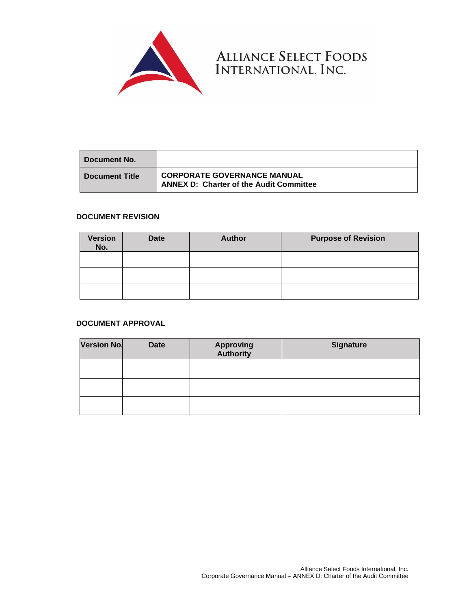

ALLIANCE SELECT FOODS<br>INTERNATIONAL, INC.

| ∣ Document No.     |                                                                               |
|--------------------|-------------------------------------------------------------------------------|
| ∣ Document Title I | CORPORATE GOVERNANCE MANUAL<br><b>ANNEX D: Charter of the Audit Committee</b> |

# **DOCUMENT REVISION**

| <b>Version</b><br>No. | Date | <b>Author</b> | <b>Purpose of Revision</b> |
|-----------------------|------|---------------|----------------------------|
|                       |      |               |                            |
|                       |      |               |                            |
|                       |      |               |                            |

# **DOCUMENT APPROVAL**

| <b>Version No.</b> | <b>Date</b> | <b>Approving</b><br><b>Authority</b> | <b>Signature</b> |
|--------------------|-------------|--------------------------------------|------------------|
|                    |             |                                      |                  |
|                    |             |                                      |                  |
|                    |             |                                      |                  |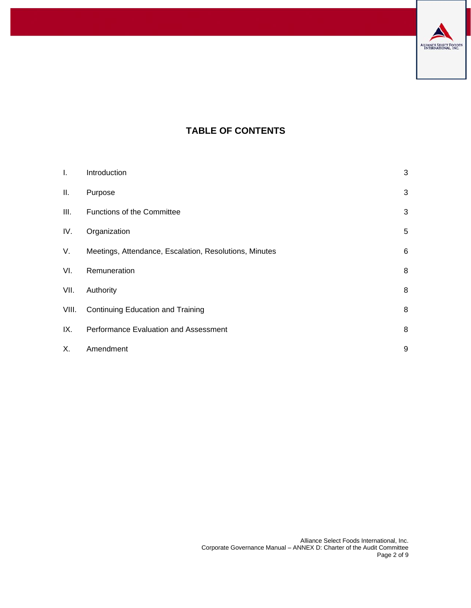

# **TABLE OF CONTENTS**

| I.    | Introduction                                           | 3 |
|-------|--------------------------------------------------------|---|
| Ш.    | Purpose                                                | 3 |
| III.  | Functions of the Committee                             | 3 |
| IV.   | Organization                                           | 5 |
| V.    | Meetings, Attendance, Escalation, Resolutions, Minutes | 6 |
| VI.   | Remuneration                                           | 8 |
| VII.  | Authority                                              | 8 |
| VIII. | Continuing Education and Training                      | 8 |
| IX.   | Performance Evaluation and Assessment                  | 8 |
| Х.    | Amendment                                              | 9 |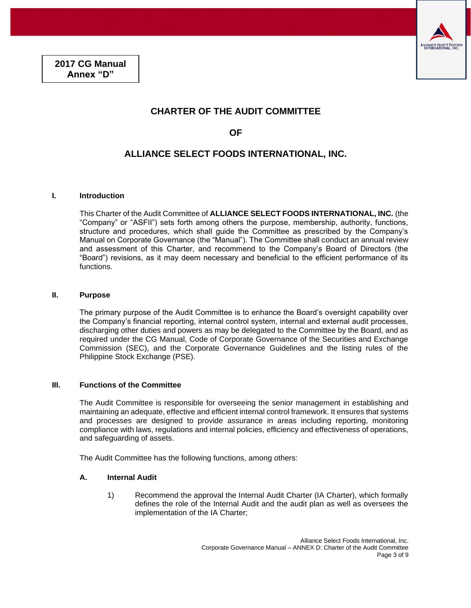

# **CHARTER OF THE AUDIT COMMITTEE**

**OF** 

# **ALLIANCE SELECT FOODS INTERNATIONAL, INC.**

#### <span id="page-2-0"></span>**I. Introduction**

This Charter of the Audit Committee of **ALLIANCE SELECT FOODS INTERNATIONAL, INC.** (the "Company" or "ASFII") sets forth among others the purpose, membership, authority, functions, structure and procedures, which shall guide the Committee as prescribed by the Company's Manual on Corporate Governance (the "Manual"). The Committee shall conduct an annual review and assessment of this Charter, and recommend to the Company's Board of Directors (the "Board") revisions, as it may deem necessary and beneficial to the efficient performance of its functions.

#### <span id="page-2-1"></span>**II. Purpose**

The primary purpose of the Audit Committee is to enhance the Board's oversight capability over the Company's financial reporting, internal control system, internal and external audit processes, discharging other duties and powers as may be delegated to the Committee by the Board, and as required under the CG Manual, Code of Corporate Governance of the Securities and Exchange Commission (SEC), and the Corporate Governance Guidelines and the listing rules of the Philippine Stock Exchange (PSE).

#### <span id="page-2-2"></span>**III. Functions of the Committee**

The Audit Committee is responsible for overseeing the senior management in establishing and maintaining an adequate, effective and efficient internal control framework. It ensures that systems and processes are designed to provide assurance in areas including reporting, monitoring compliance with laws, regulations and internal policies, efficiency and effectiveness of operations, and safeguarding of assets.

The Audit Committee has the following functions, among others:

#### **A. Internal Audit**

1) Recommend the approval the Internal Audit Charter (IA Charter), which formally defines the role of the Internal Audit and the audit plan as well as oversees the implementation of the IA Charter;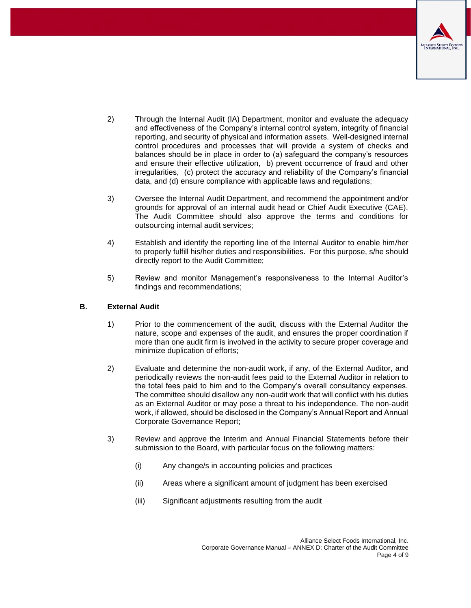

- 2) Through the Internal Audit (IA) Department, monitor and evaluate the adequacy and effectiveness of the Company's internal control system, integrity of financial reporting, and security of physical and information assets. Well-designed internal control procedures and processes that will provide a system of checks and balances should be in place in order to (a) safeguard the company's resources and ensure their effective utilization, b) prevent occurrence of fraud and other irregularities, (c) protect the accuracy and reliability of the Company's financial data, and (d) ensure compliance with applicable laws and regulations;
- 3) Oversee the Internal Audit Department, and recommend the appointment and/or grounds for approval of an internal audit head or Chief Audit Executive (CAE). The Audit Committee should also approve the terms and conditions for outsourcing internal audit services;
- 4) Establish and identify the reporting line of the Internal Auditor to enable him/her to properly fulfill his/her duties and responsibilities. For this purpose, s/he should directly report to the Audit Committee;
- 5) Review and monitor Management's responsiveness to the Internal Auditor's findings and recommendations;

### **B. External Audit**

- 1) Prior to the commencement of the audit, discuss with the External Auditor the nature, scope and expenses of the audit, and ensures the proper coordination if more than one audit firm is involved in the activity to secure proper coverage and minimize duplication of efforts;
- 2) Evaluate and determine the non-audit work, if any, of the External Auditor, and periodically reviews the non-audit fees paid to the External Auditor in relation to the total fees paid to him and to the Company's overall consultancy expenses. The committee should disallow any non-audit work that will conflict with his duties as an External Auditor or may pose a threat to his independence. The non-audit work, if allowed, should be disclosed in the Company's Annual Report and Annual Corporate Governance Report;
- 3) Review and approve the Interim and Annual Financial Statements before their submission to the Board, with particular focus on the following matters:
	- (i) Any change/s in accounting policies and practices
	- (ii) Areas where a significant amount of judgment has been exercised
	- (iii) Significant adjustments resulting from the audit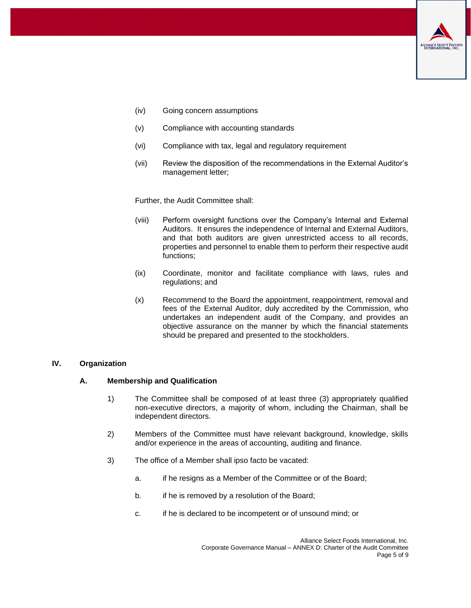

- (iv) Going concern assumptions
- (v) Compliance with accounting standards
- (vi) Compliance with tax, legal and regulatory requirement
- (vii) Review the disposition of the recommendations in the External Auditor's management letter;

Further, the Audit Committee shall:

- (viii) Perform oversight functions over the Company's Internal and External Auditors. It ensures the independence of Internal and External Auditors, and that both auditors are given unrestricted access to all records, properties and personnel to enable them to perform their respective audit functions;
- (ix) Coordinate, monitor and facilitate compliance with laws, rules and regulations; and
- (x) Recommend to the Board the appointment, reappointment, removal and fees of the External Auditor, duly accredited by the Commission, who undertakes an independent audit of the Company, and provides an objective assurance on the manner by which the financial statements should be prepared and presented to the stockholders.

# <span id="page-4-0"></span>**IV. Organization**

#### **A. Membership and Qualification**

- 1) The Committee shall be composed of at least three (3) appropriately qualified non-executive directors, a majority of whom, including the Chairman, shall be independent directors.
- 2) Members of the Committee must have relevant background, knowledge, skills and/or experience in the areas of accounting, auditing and finance.
- 3) The office of a Member shall ipso facto be vacated:
	- a. if he resigns as a Member of the Committee or of the Board;
	- b. if he is removed by a resolution of the Board;
	- c. if he is declared to be incompetent or of unsound mind; or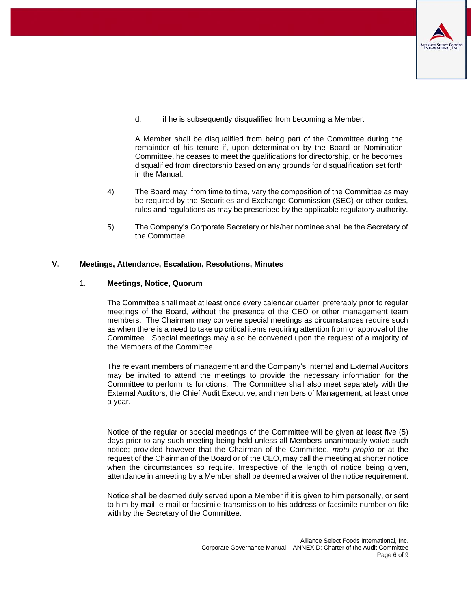

d. if he is subsequently disqualified from becoming a Member.

A Member shall be disqualified from being part of the Committee during the remainder of his tenure if, upon determination by the Board or Nomination Committee, he ceases to meet the qualifications for directorship, or he becomes disqualified from directorship based on any grounds for disqualification set forth in the Manual.

- 4) The Board may, from time to time, vary the composition of the Committee as may be required by the Securities and Exchange Commission (SEC) or other codes, rules and regulations as may be prescribed by the applicable regulatory authority.
- 5) The Company's Corporate Secretary or his/her nominee shall be the Secretary of the Committee.

#### <span id="page-5-0"></span>**V. Meetings, Attendance, Escalation, Resolutions, Minutes**

#### 1. **Meetings, Notice, Quorum**

The Committee shall meet at least once every calendar quarter, preferably prior to regular meetings of the Board, without the presence of the CEO or other management team members. The Chairman may convene special meetings as circumstances require such as when there is a need to take up critical items requiring attention from or approval of the Committee. Special meetings may also be convened upon the request of a majority of the Members of the Committee.

The relevant members of management and the Company's Internal and External Auditors may be invited to attend the meetings to provide the necessary information for the Committee to perform its functions. The Committee shall also meet separately with the External Auditors, the Chief Audit Executive, and members of Management, at least once a year.

Notice of the regular or special meetings of the Committee will be given at least five (5) days prior to any such meeting being held unless all Members unanimously waive such notice; provided however that the Chairman of the Committee, *motu propio* or at the request of the Chairman of the Board or of the CEO, may call the meeting at shorter notice when the circumstances so require. Irrespective of the length of notice being given, attendance in ameeting by a Member shall be deemed a waiver of the notice requirement.

Notice shall be deemed duly served upon a Member if it is given to him personally, or sent to him by mail, e-mail or facsimile transmission to his address or facsimile number on file with by the Secretary of the Committee.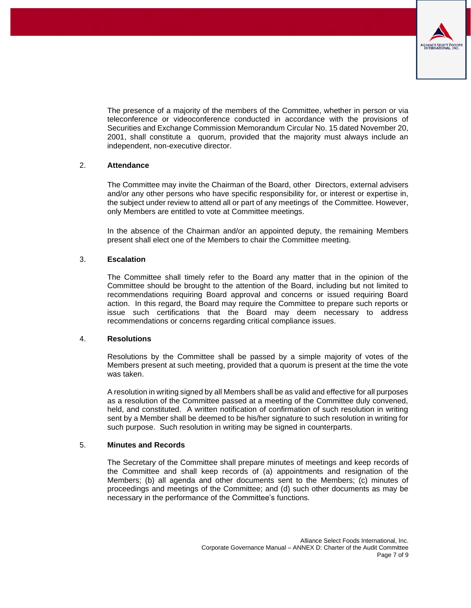

The presence of a majority of the members of the Committee, whether in person or via teleconference or videoconference conducted in accordance with the provisions of Securities and Exchange Commission Memorandum Circular No. 15 dated November 20, 2001, shall constitute a quorum, provided that the majority must always include an independent, non-executive director.

# 2. **Attendance**

The Committee may invite the Chairman of the Board, other Directors, external advisers and/or any other persons who have specific responsibility for, or interest or expertise in, the subject under review to attend all or part of any meetings of the Committee. However, only Members are entitled to vote at Committee meetings.

In the absence of the Chairman and/or an appointed deputy, the remaining Members present shall elect one of the Members to chair the Committee meeting.

### 3. **Escalation**

The Committee shall timely refer to the Board any matter that in the opinion of the Committee should be brought to the attention of the Board, including but not limited to recommendations requiring Board approval and concerns or issued requiring Board action. In this regard, the Board may require the Committee to prepare such reports or issue such certifications that the Board may deem necessary to address recommendations or concerns regarding critical compliance issues.

#### 4. **Resolutions**

Resolutions by the Committee shall be passed by a simple majority of votes of the Members present at such meeting, provided that a quorum is present at the time the vote was taken.

A resolution in writing signed by all Members shall be as valid and effective for all purposes as a resolution of the Committee passed at a meeting of the Committee duly convened, held, and constituted. A written notification of confirmation of such resolution in writing sent by a Member shall be deemed to be his/her signature to such resolution in writing for such purpose. Such resolution in writing may be signed in counterparts.

#### 5. **Minutes and Records**

The Secretary of the Committee shall prepare minutes of meetings and keep records of the Committee and shall keep records of (a) appointments and resignation of the Members; (b) all agenda and other documents sent to the Members; (c) minutes of proceedings and meetings of the Committee; and (d) such other documents as may be necessary in the performance of the Committee's functions.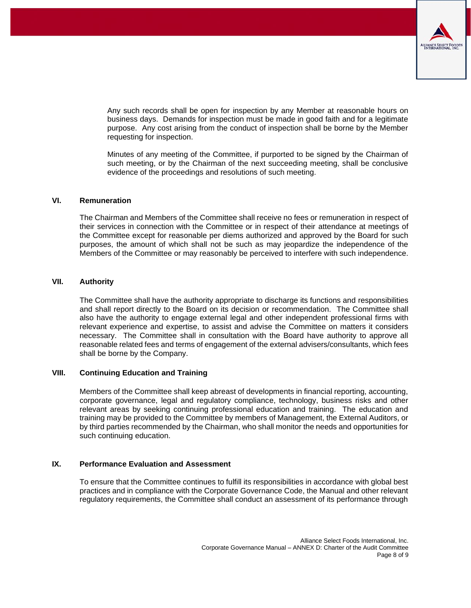

Any such records shall be open for inspection by any Member at reasonable hours on business days. Demands for inspection must be made in good faith and for a legitimate purpose. Any cost arising from the conduct of inspection shall be borne by the Member requesting for inspection.

Minutes of any meeting of the Committee, if purported to be signed by the Chairman of such meeting, or by the Chairman of the next succeeding meeting, shall be conclusive evidence of the proceedings and resolutions of such meeting.

#### <span id="page-7-0"></span>**VI. Remuneration**

The Chairman and Members of the Committee shall receive no fees or remuneration in respect of their services in connection with the Committee or in respect of their attendance at meetings of the Committee except for reasonable per diems authorized and approved by the Board for such purposes, the amount of which shall not be such as may jeopardize the independence of the Members of the Committee or may reasonably be perceived to interfere with such independence.

#### <span id="page-7-1"></span>**VII. Authority**

The Committee shall have the authority appropriate to discharge its functions and responsibilities and shall report directly to the Board on its decision or recommendation. The Committee shall also have the authority to engage external legal and other independent professional firms with relevant experience and expertise, to assist and advise the Committee on matters it considers necessary. The Committee shall in consultation with the Board have authority to approve all reasonable related fees and terms of engagement of the external advisers/consultants, which fees shall be borne by the Company.

## <span id="page-7-2"></span>**VIII. Continuing Education and Training**

Members of the Committee shall keep abreast of developments in financial reporting, accounting, corporate governance, legal and regulatory compliance, technology, business risks and other relevant areas by seeking continuing professional education and training. The education and training may be provided to the Committee by members of Management, the External Auditors, or by third parties recommended by the Chairman, who shall monitor the needs and opportunities for such continuing education.

#### <span id="page-7-3"></span>**IX. Performance Evaluation and Assessment**

To ensure that the Committee continues to fulfill its responsibilities in accordance with global best practices and in compliance with the Corporate Governance Code, the Manual and other relevant regulatory requirements, the Committee shall conduct an assessment of its performance through